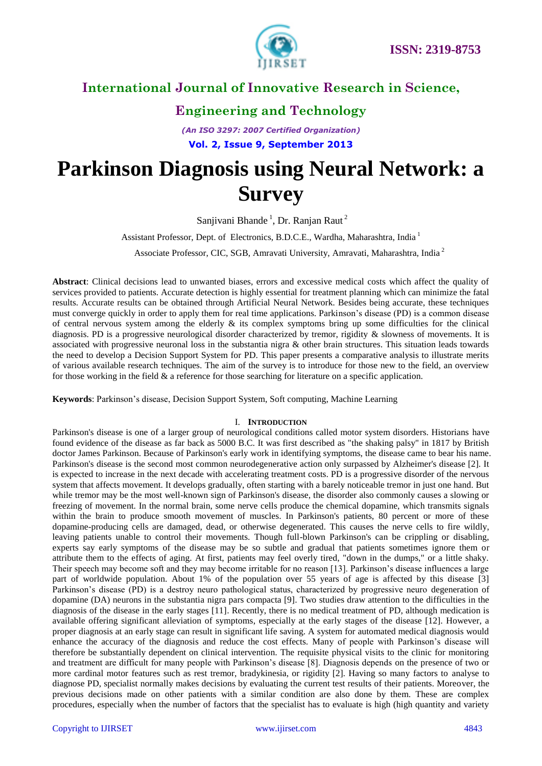

# **Engineering and Technology**

*(An ISO 3297: 2007 Certified Organization)* **Vol. 2, Issue 9, September 2013**

# **Parkinson Diagnosis using Neural Network: a Survey**

Sanjivani Bhande<sup>1</sup>, Dr. Ranjan Raut<sup>2</sup>

Assistant Professor, Dept. of Electronics, B.D.C.E., Wardha, Maharashtra, India <sup>1</sup>

Associate Professor, CIC, SGB, Amravati University, Amravati, Maharashtra, India<sup>2</sup>

**Abstract**: Clinical decisions lead to unwanted biases, errors and excessive medical costs which affect the quality of services provided to patients. Accurate detection is highly essential for treatment planning which can minimize the fatal results. Accurate results can be obtained through Artificial Neural Network. Besides being accurate, these techniques must converge quickly in order to apply them for real time applications. Parkinson's disease (PD) is a common disease of central nervous system among the elderly  $\&$  its complex symptoms bring up some difficulties for the clinical diagnosis. PD is a progressive neurological disorder characterized by tremor, rigidity & slowness of movements. It is associated with progressive neuronal loss in the substantia nigra & other brain structures. This situation leads towards the need to develop a Decision Support System for PD. This paper presents a comparative analysis to illustrate merits of various available research techniques. The aim of the survey is to introduce for those new to the field, an overview for those working in the field & a reference for those searching for literature on a specific application.

**Keywords**: Parkinson's disease, Decision Support System, Soft computing, Machine Learning

## I. **INTRODUCTION**

Parkinson's disease is one of a larger group of neurological conditions called motor system disorders. Historians have found evidence of the disease as far back as 5000 B.C. It was first described as "the shaking palsy" in 1817 by British doctor James Parkinson. Because of Parkinson's early work in identifying symptoms, the disease came to bear his name. Parkinson's disease is the second most common neurodegenerative action only surpassed by Alzheimer's disease [2]. It is expected to increase in the next decade with accelerating treatment costs. PD is a progressive disorder of the nervous system that affects movement. It develops gradually, often starting with a barely noticeable tremor in just one hand. But while tremor may be the most well-known sign of Parkinson's disease, the disorder also commonly causes a slowing or freezing of movement. In the normal brain, some nerve cells produce the chemical dopamine, which transmits signals within the brain to produce smooth movement of muscles. In Parkinson's patients, 80 percent or more of these dopamine-producing cells are damaged, dead, or otherwise degenerated. This causes the nerve cells to fire wildly, leaving patients unable to control their movements. Though full-blown Parkinson's can be crippling or disabling, experts say early symptoms of the disease may be so subtle and gradual that patients sometimes ignore them or attribute them to the effects of aging. At first, patients may feel overly tired, "down in the dumps," or a little shaky. Their speech may become soft and they may become irritable for no reason [13]. Parkinson's disease influences a large part of worldwide population. About 1% of the population over 55 years of age is affected by this disease [3] Parkinson's disease (PD) is a destroy neuro pathological status, characterized by progressive neuro degeneration of dopamine (DA) neurons in the substantia nigra pars compacta [9]. Two studies draw attention to the difficulties in the diagnosis of the disease in the early stages [11]. Recently, there is no medical treatment of PD, although medication is available offering significant alleviation of symptoms, especially at the early stages of the disease [12]. However, a proper diagnosis at an early stage can result in significant life saving. A system for automated medical diagnosis would enhance the accuracy of the diagnosis and reduce the cost effects. Many of people with Parkinson's disease will therefore be substantially dependent on clinical intervention. The requisite physical visits to the clinic for monitoring and treatment are difficult for many people with Parkinson's disease [8]. Diagnosis depends on the presence of two or more cardinal motor features such as rest tremor, bradykinesia, or rigidity [2]. Having so many factors to analyse to diagnose PD, specialist normally makes decisions by evaluating the current test results of their patients. Moreover, the previous decisions made on other patients with a similar condition are also done by them. These are complex procedures, especially when the number of factors that the specialist has to evaluate is high (high quantity and variety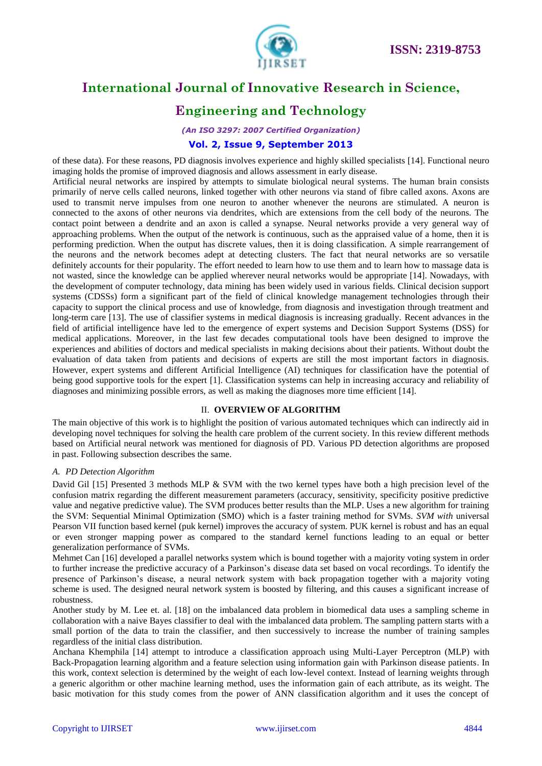

# **Engineering and Technology**

*(An ISO 3297: 2007 Certified Organization)*

## **Vol. 2, Issue 9, September 2013**

of these data). For these reasons, PD diagnosis involves experience and highly skilled specialists [14]. Functional neuro imaging holds the promise of improved diagnosis and allows assessment in early disease.

Artificial neural networks are inspired by attempts to simulate biological neural systems. The human brain consists primarily of nerve cells called neurons, linked together with other neurons via stand of fibre called axons. Axons are used to transmit nerve impulses from one neuron to another whenever the neurons are stimulated. A neuron is connected to the axons of other neurons via dendrites, which are extensions from the cell body of the neurons. The contact point between a dendrite and an axon is called a synapse. Neural networks provide a very general way of approaching problems. When the output of the network is continuous, such as the appraised value of a home, then it is performing prediction. When the output has discrete values, then it is doing classification. A simple rearrangement of the neurons and the network becomes adept at detecting clusters. The fact that neural networks are so versatile definitely accounts for their popularity. The effort needed to learn how to use them and to learn how to massage data is not wasted, since the knowledge can be applied wherever neural networks would be appropriate [14]. Nowadays, with the development of computer technology, data mining has been widely used in various fields. Clinical decision support systems (CDSSs) form a significant part of the field of clinical knowledge management technologies through their capacity to support the clinical process and use of knowledge, from diagnosis and investigation through treatment and long-term care [13]. The use of classifier systems in medical diagnosis is increasing gradually. Recent advances in the field of artificial intelligence have led to the emergence of expert systems and Decision Support Systems (DSS) for medical applications. Moreover, in the last few decades computational tools have been designed to improve the experiences and abilities of doctors and medical specialists in making decisions about their patients. Without doubt the evaluation of data taken from patients and decisions of experts are still the most important factors in diagnosis. However, expert systems and different Artificial Intelligence (AI) techniques for classification have the potential of being good supportive tools for the expert [1]. Classification systems can help in increasing accuracy and reliability of diagnoses and minimizing possible errors, as well as making the diagnoses more time efficient [14].

## II. **OVERVIEW OF ALGORITHM**

The main objective of this work is to highlight the position of various automated techniques which can indirectly aid in developing novel techniques for solving the health care problem of the current society. In this review different methods based on Artificial neural network was mentioned for diagnosis of PD. Various PD detection algorithms are proposed in past. Following subsection describes the same.

## *A. PD Detection Algorithm*

David Gil [15] Presented 3 methods MLP & SVM with the two kernel types have both a high precision level of the confusion matrix regarding the different measurement parameters (accuracy, sensitivity, specificity positive predictive value and negative predictive value). The SVM produces better results than the MLP. Uses a new algorithm for training the SVM: Sequential Minimal Optimization (SMO) which is a faster training method for SVMs. *SVM with* universal Pearson VII function based kernel (puk kernel) improves the accuracy of system. PUK kernel is robust and has an equal or even stronger mapping power as compared to the standard kernel functions leading to an equal or better generalization performance of SVMs.

Mehmet Can [16] developed a parallel networks system which is bound together with a majority voting system in order to further increase the predictive accuracy of a Parkinson's disease data set based on vocal recordings. To identify the presence of Parkinson's disease, a neural network system with back propagation together with a majority voting scheme is used. The designed neural network system is boosted by filtering, and this causes a significant increase of robustness.

Another study by M. Lee et. al. [18] on the imbalanced data problem in biomedical data uses a sampling scheme in collaboration with a naive Bayes classifier to deal with the imbalanced data problem. The sampling pattern starts with a small portion of the data to train the classifier, and then successively to increase the number of training samples regardless of the initial class distribution.

Anchana Khemphila [14] attempt to introduce a classification approach using Multi-Layer Perceptron (MLP) with Back-Propagation learning algorithm and a feature selection using information gain with Parkinson disease patients. In this work, context selection is determined by the weight of each low-level context. Instead of learning weights through a generic algorithm or other machine learning method, uses the information gain of each attribute, as its weight. The basic motivation for this study comes from the power of ANN classification algorithm and it uses the concept of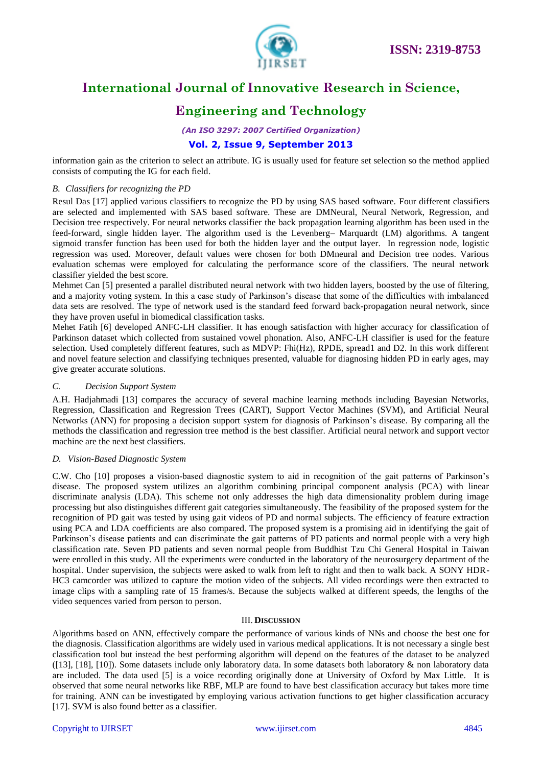

# **Engineering and Technology**

*(An ISO 3297: 2007 Certified Organization)*

# **Vol. 2, Issue 9, September 2013**

information gain as the criterion to select an attribute. IG is usually used for feature set selection so the method applied consists of computing the IG for each field.

## *B. Classifiers for recognizing the PD*

Resul Das [17] applied various classifiers to recognize the PD by using SAS based software. Four different classifiers are selected and implemented with SAS based software. These are DMNeural, Neural Network, Regression, and Decision tree respectively. For neural networks classifier the back propagation learning algorithm has been used in the feed-forward, single hidden layer. The algorithm used is the Levenberg– Marquardt (LM) algorithms. A tangent sigmoid transfer function has been used for both the hidden layer and the output layer. In regression node, logistic regression was used. Moreover, default values were chosen for both DMneural and Decision tree nodes. Various evaluation schemas were employed for calculating the performance score of the classifiers. The neural network classifier yielded the best score.

Mehmet Can [5] presented a parallel distributed neural network with two hidden layers, boosted by the use of filtering, and a majority voting system. In this a case study of Parkinson's disease that some of the difficulties with imbalanced data sets are resolved. The type of network used is the standard feed forward back-propagation neural network, since they have proven useful in biomedical classification tasks.

Mehet Fatih [6] developed ANFC-LH classifier. It has enough satisfaction with higher accuracy for classification of Parkinson dataset which collected from sustained vowel phonation. Also, ANFC-LH classifier is used for the feature selection. Used completely different features, such as MDVP: Fhi(Hz), RPDE, spread1 and D2. In this work different and novel feature selection and classifying techniques presented, valuable for diagnosing hidden PD in early ages, may give greater accurate solutions.

## *C. Decision Support System*

A.H. Hadjahmadi [13] compares the accuracy of several machine learning methods including Bayesian Networks, Regression, Classification and Regression Trees (CART), Support Vector Machines (SVM), and Artificial Neural Networks (ANN) for proposing a decision support system for diagnosis of Parkinson's disease. By comparing all the methods the classification and regression tree method is the best classifier. Artificial neural network and support vector machine are the next best classifiers.

## *D. Vision-Based Diagnostic System*

C.W. Cho [10] proposes a vision-based diagnostic system to aid in recognition of the gait patterns of Parkinson's disease. The proposed system utilizes an algorithm combining principal component analysis (PCA) with linear discriminate analysis (LDA). This scheme not only addresses the high data dimensionality problem during image processing but also distinguishes different gait categories simultaneously. The feasibility of the proposed system for the recognition of PD gait was tested by using gait videos of PD and normal subjects. The efficiency of feature extraction using PCA and LDA coefficients are also compared. The proposed system is a promising aid in identifying the gait of Parkinson's disease patients and can discriminate the gait patterns of PD patients and normal people with a very high classification rate. Seven PD patients and seven normal people from Buddhist Tzu Chi General Hospital in Taiwan were enrolled in this study. All the experiments were conducted in the laboratory of the neurosurgery department of the hospital. Under supervision, the subjects were asked to walk from left to right and then to walk back. A SONY HDR-HC3 camcorder was utilized to capture the motion video of the subjects. All video recordings were then extracted to image clips with a sampling rate of 15 frames/s. Because the subjects walked at different speeds, the lengths of the video sequences varied from person to person.

## III. **DISCUSSION**

Algorithms based on ANN, effectively compare the performance of various kinds of NNs and choose the best one for the diagnosis. Classification algorithms are widely used in various medical applications. It is not necessary a single best classification tool but instead the best performing algorithm will depend on the features of the dataset to be analyzed ( $[13]$ ,  $[18]$ ,  $[10]$ ). Some datasets include only laboratory data. In some datasets both laboratory  $\&$  non laboratory data are included. The data used [5] is a voice recording originally done at University of Oxford by Max Little. It is observed that some neural networks like RBF, MLP are found to have best classification accuracy but takes more time for training. ANN can be investigated by employing various activation functions to get higher classification accuracy [17]. SVM is also found better as a classifier.